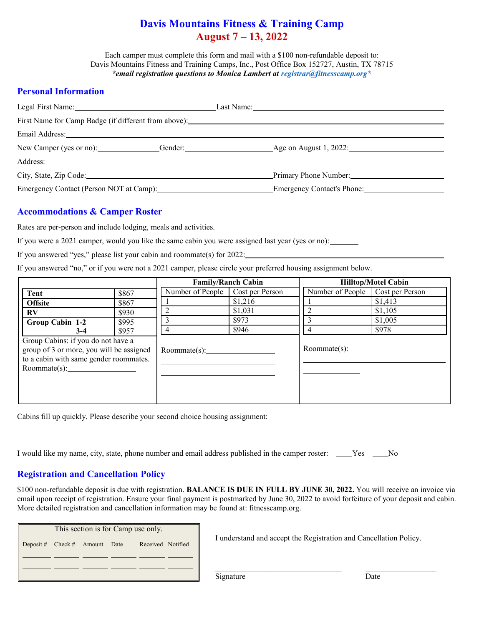# **Davis Mountains Fitness & Training Camp August 7 – 13, 2022**

Each camper must complete this form and mail with a \$100 non-refundable deposit to: Davis Mountains Fitness and Training Camps, Inc., Post Office Box 152727, Austin, TX 78715 *\*email registration questions to Monica Lambert at [registrar@fitnesscamp.org\\*](mailto:registrar@fitnesscamp.org*)*

### **Personal Information**

| Legal First Name: 1988 Manual Manual Manual Manual Manual Manual Manual Manual Manual Manual Manual Manual Manual Manual Manual Manual Manual Manual Manual Manual Manual Manual Manual Manual Manual Manual Manual Manual Man |                                                                |
|--------------------------------------------------------------------------------------------------------------------------------------------------------------------------------------------------------------------------------|----------------------------------------------------------------|
|                                                                                                                                                                                                                                |                                                                |
| Email Address: the contract of the contract of the contract of the contract of the contract of the contract of the contract of the contract of the contract of the contract of the contract of the contract of the contract of |                                                                |
|                                                                                                                                                                                                                                | New Camper (yes or no): Gender: Gender: Age on August 1, 2022: |
|                                                                                                                                                                                                                                |                                                                |
|                                                                                                                                                                                                                                | Primary Phone Number:                                          |
|                                                                                                                                                                                                                                | Emergency Contact's Phone:                                     |
|                                                                                                                                                                                                                                |                                                                |

## **Accommodations & Camper Roster**

Rates are per-person and include lodging, meals and activities.

If you were a 2021 camper, would you like the same cabin you were assigned last year (yes or no):

If you answered "yes," please list your cabin and roommate(s) for 2022:

If you answered "no," or if you were not a 2021 camper, please circle your preferred housing assignment below.

|                                          |       | <b>Family/Ranch Cabin</b> |                 | <b>Hilltop/Motel Cabin</b> |                 |  |
|------------------------------------------|-------|---------------------------|-----------------|----------------------------|-----------------|--|
| Tent                                     | \$867 | Number of People          | Cost per Person | Number of People           | Cost per Person |  |
| <b>Offsite</b>                           | \$867 |                           | \$1,216         |                            | \$1,413         |  |
| $\mathbf{R} \mathbf{V}$                  | \$930 |                           | \$1,031         |                            | \$1,105         |  |
| Group Cabin 1-2                          | \$995 |                           | \$973           |                            | \$1,005         |  |
| $3-4$                                    | \$957 |                           | \$946           | 4                          | \$978           |  |
| Group Cabins: if you do not have a       |       |                           |                 |                            |                 |  |
| group of 3 or more, you will be assigned |       | Roommate(s):              |                 |                            |                 |  |
| to a cabin with same gender roommates.   |       |                           |                 |                            |                 |  |
| Roommate(s):                             |       |                           |                 |                            |                 |  |
|                                          |       |                           |                 |                            |                 |  |
|                                          |       |                           |                 |                            |                 |  |
|                                          |       |                           |                 |                            |                 |  |

Cabins fill up quickly. Please describe your second choice housing assignment:

| I would like my name, city, state, phone number and email address published in the camper roster: _____Yes ____No |  |  |  |  |  |  |
|-------------------------------------------------------------------------------------------------------------------|--|--|--|--|--|--|
|-------------------------------------------------------------------------------------------------------------------|--|--|--|--|--|--|

# **Registration and Cancellation Policy**

\$100 non-refundable deposit is due with registration. **BALANCE IS DUE IN FULL BY JUNE 30, 2022.** You will receive an invoice via email upon receipt of registration. Ensure your final payment is postmarked by June 30, 2022 to avoid forfeiture of your deposit and cabin. More detailed registration and cancellation information may be found at: fitnesscamp.org.

| Deposit # $Check #$ Amount Date<br>Received Notified | This section is for Camp use only. |  |  |  |  |  |  |  |  |
|------------------------------------------------------|------------------------------------|--|--|--|--|--|--|--|--|
|                                                      |                                    |  |  |  |  |  |  |  |  |
|                                                      |                                    |  |  |  |  |  |  |  |  |
|                                                      |                                    |  |  |  |  |  |  |  |  |

I understand and accept the Registration and Cancellation Policy.

 $\mathcal{L}_\text{max} = \frac{1}{2} \sum_{i=1}^{n} \frac{1}{2} \sum_{i=1}^{n} \frac{1}{2} \sum_{i=1}^{n} \frac{1}{2} \sum_{i=1}^{n} \frac{1}{2} \sum_{i=1}^{n} \frac{1}{2} \sum_{i=1}^{n} \frac{1}{2} \sum_{i=1}^{n} \frac{1}{2} \sum_{i=1}^{n} \frac{1}{2} \sum_{i=1}^{n} \frac{1}{2} \sum_{i=1}^{n} \frac{1}{2} \sum_{i=1}^{n} \frac{1}{2} \sum_{i=1}^{n} \frac{1$ 

Signature Date